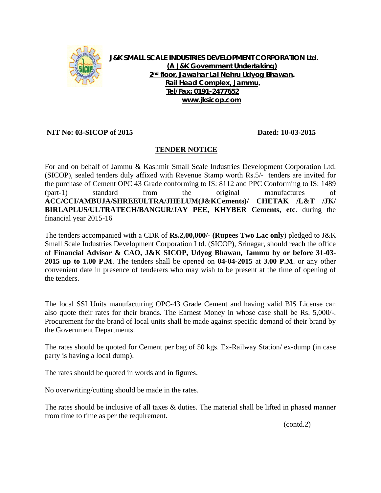

**J&K SMALL SCALE INDUSTRIES DEVELOPMENT CORPORATION Ltd. (A J&K Government Undertaking) 2nd floor, Jawahar Lal Nehru Udyog Bhawan. Rail Head Complex, Jammu. Tel/Fax: 0191-2477652 www.jksicop.com**

## **NIT No: 03-SICOP of 2015 Dated: 10-03-2015**

## **TENDER NOTICE**

For and on behalf of Jammu & Kashmir Small Scale Industries Development Corporation Ltd. (SICOP), sealed tenders duly affixed with Revenue Stamp worth Rs.5/- tenders are invited for the purchase of Cement OPC 43 Grade conforming to IS: 8112 and PPC Conforming to IS: 1489 (part-1) standard from the original manufactures of **ACC/CCI/AMBUJA/SHREEULTRA/JHELUM(J&KCements)/ CHETAK /L&T /JK/ BIRLAPLUS/ULTRATECH/BANGUR/JAY PEE, KHYBER Cements, etc**. during the financial year 2015-16

The tenders accompanied with a CDR of **Rs.2,00,000/- (Rupees Two Lac only**) pledged to J&K Small Scale Industries Development Corporation Ltd. (SICOP), Srinagar, should reach the office of **Financial Advisor & CAO, J&K SICOP, Udyog Bhawan, Jammu by or before 31-03- 2015 up to 1.00 P.M**. The tenders shall be opened on **04-04-2015** at **3.00 P.M**. or any other convenient date in presence of tenderers who may wish to be present at the time of opening of the tenders.

The local SSI Units manufacturing OPC-43 Grade Cement and having valid BIS License can also quote their rates for their brands. The Earnest Money in whose case shall be Rs. 5,000/-. Procurement for the brand of local units shall be made against specific demand of their brand by the Government Departments.

The rates should be quoted for Cement per bag of 50 kgs. Ex-Railway Station/ ex-dump (in case party is having a local dump).

The rates should be quoted in words and in figures.

No overwriting/cutting should be made in the rates.

The rates should be inclusive of all taxes & duties. The material shall be lifted in phased manner from time to time as per the requirement.

(contd.2)